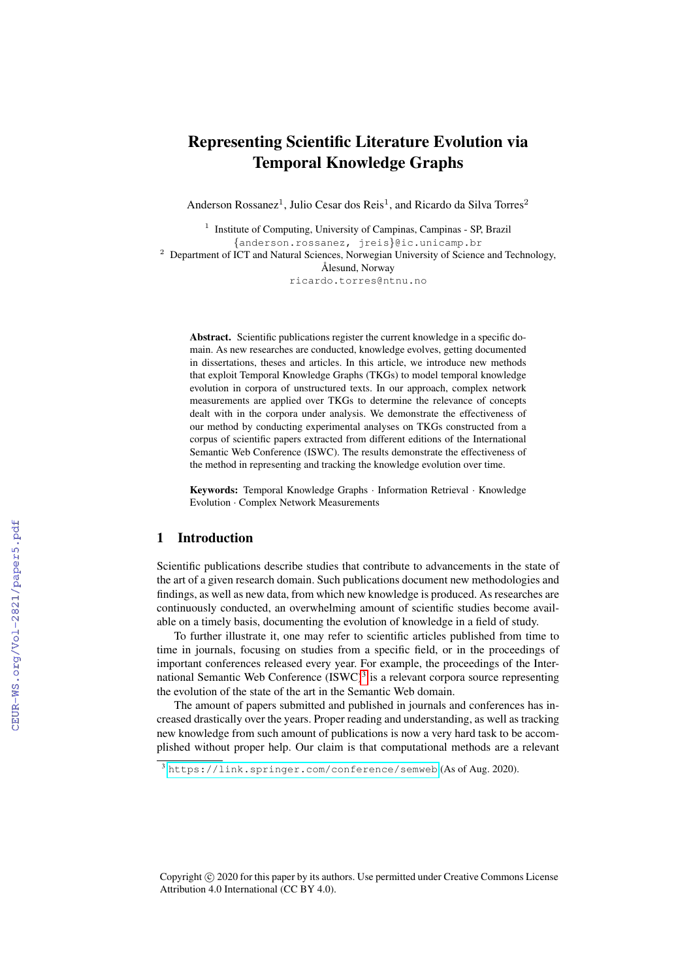# Representing Scientific Literature Evolution via Temporal Knowledge Graphs

Anderson Rossanez<sup>1</sup>, Julio Cesar dos Reis<sup>1</sup>, and Ricardo da Silva Torres<sup>2</sup>

<sup>1</sup> Institute of Computing, University of Campinas, Campinas - SP, Brazil {anderson.rossanez, jreis}@ic.unicamp.br <sup>2</sup> Department of ICT and Natural Sciences, Norwegian University of Science and Technology, Ålesund, Norway ricardo.torres@ntnu.no

Abstract. Scientific publications register the current knowledge in a specific domain. As new researches are conducted, knowledge evolves, getting documented in dissertations, theses and articles. In this article, we introduce new methods that exploit Temporal Knowledge Graphs (TKGs) to model temporal knowledge evolution in corpora of unstructured texts. In our approach, complex network measurements are applied over TKGs to determine the relevance of concepts dealt with in the corpora under analysis. We demonstrate the effectiveness of our method by conducting experimental analyses on TKGs constructed from a corpus of scientific papers extracted from different editions of the International Semantic Web Conference (ISWC). The results demonstrate the effectiveness of the method in representing and tracking the knowledge evolution over time.

Keywords: Temporal Knowledge Graphs · Information Retrieval · Knowledge Evolution · Complex Network Measurements

#### 1 Introduction

Scientific publications describe studies that contribute to advancements in the state of the art of a given research domain. Such publications document new methodologies and findings, as well as new data, from which new knowledge is produced. As researches are continuously conducted, an overwhelming amount of scientific studies become available on a timely basis, documenting the evolution of knowledge in a field of study.

To further illustrate it, one may refer to scientific articles published from time to time in journals, focusing on studies from a specific field, or in the proceedings of important conferences released every year. For example, the proceedings of the International Semantic Web Conference  $(ISWC)^3$  $(ISWC)^3$  is a relevant corpora source representing the evolution of the state of the art in the Semantic Web domain.

The amount of papers submitted and published in journals and conferences has increased drastically over the years. Proper reading and understanding, as well as tracking new knowledge from such amount of publications is now a very hard task to be accomplished without proper help. Our claim is that computational methods are a relevant

Copyright © 2020 for this paper by its authors. Use permitted under Creative Commons License Attribution 4.0 International (CC BY 4.0).

<span id="page-0-0"></span><sup>3</sup> <https://link.springer.com/conference/semweb> (As of Aug. 2020).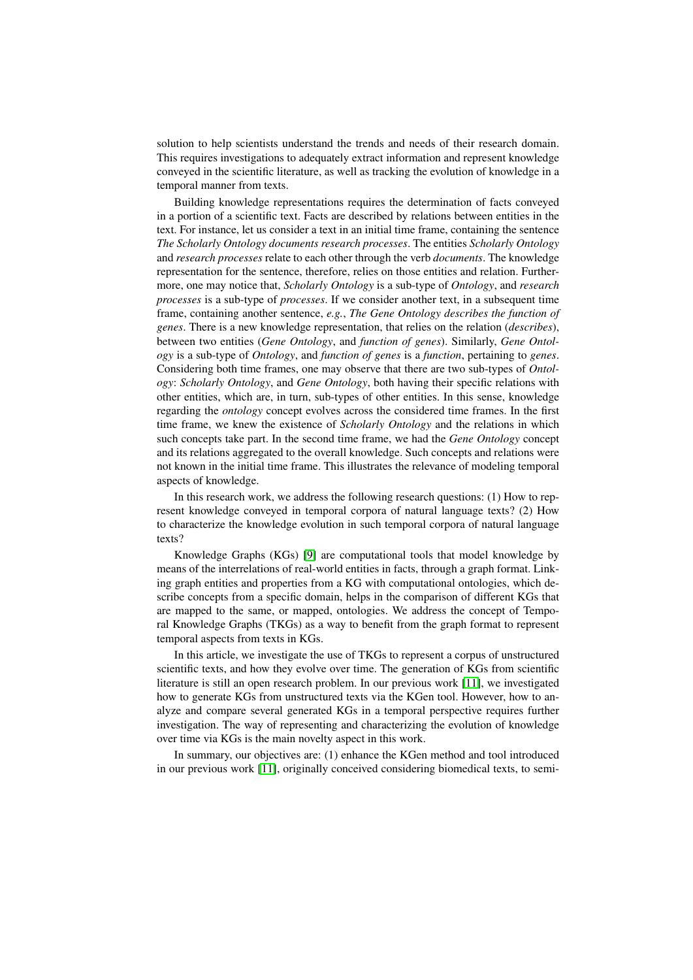solution to help scientists understand the trends and needs of their research domain. This requires investigations to adequately extract information and represent knowledge conveyed in the scientific literature, as well as tracking the evolution of knowledge in a temporal manner from texts.

Building knowledge representations requires the determination of facts conveyed in a portion of a scientific text. Facts are described by relations between entities in the text. For instance, let us consider a text in an initial time frame, containing the sentence *The Scholarly Ontology documents research processes*. The entities *Scholarly Ontology* and *research processes* relate to each other through the verb *documents*. The knowledge representation for the sentence, therefore, relies on those entities and relation. Furthermore, one may notice that, *Scholarly Ontology* is a sub-type of *Ontology*, and *research processes* is a sub-type of *processes*. If we consider another text, in a subsequent time frame, containing another sentence, *e.g.*, *The Gene Ontology describes the function of genes*. There is a new knowledge representation, that relies on the relation (*describes*), between two entities (*Gene Ontology*, and *function of genes*). Similarly, *Gene Ontology* is a sub-type of *Ontology*, and *function of genes* is a *function*, pertaining to *genes*. Considering both time frames, one may observe that there are two sub-types of *Ontology*: *Scholarly Ontology*, and *Gene Ontology*, both having their specific relations with other entities, which are, in turn, sub-types of other entities. In this sense, knowledge regarding the *ontology* concept evolves across the considered time frames. In the first time frame, we knew the existence of *Scholarly Ontology* and the relations in which such concepts take part. In the second time frame, we had the *Gene Ontology* concept and its relations aggregated to the overall knowledge. Such concepts and relations were not known in the initial time frame. This illustrates the relevance of modeling temporal aspects of knowledge.

In this research work, we address the following research questions: (1) How to represent knowledge conveyed in temporal corpora of natural language texts? (2) How to characterize the knowledge evolution in such temporal corpora of natural language texts?

Knowledge Graphs (KGs) [\[9\]](#page-9-0) are computational tools that model knowledge by means of the interrelations of real-world entities in facts, through a graph format. Linking graph entities and properties from a KG with computational ontologies, which describe concepts from a specific domain, helps in the comparison of different KGs that are mapped to the same, or mapped, ontologies. We address the concept of Temporal Knowledge Graphs (TKGs) as a way to benefit from the graph format to represent temporal aspects from texts in KGs.

In this article, we investigate the use of TKGs to represent a corpus of unstructured scientific texts, and how they evolve over time. The generation of KGs from scientific literature is still an open research problem. In our previous work [\[11\]](#page-9-1), we investigated how to generate KGs from unstructured texts via the KGen tool. However, how to analyze and compare several generated KGs in a temporal perspective requires further investigation. The way of representing and characterizing the evolution of knowledge over time via KGs is the main novelty aspect in this work.

In summary, our objectives are: (1) enhance the KGen method and tool introduced in our previous work [\[11\]](#page-9-1), originally conceived considering biomedical texts, to semi-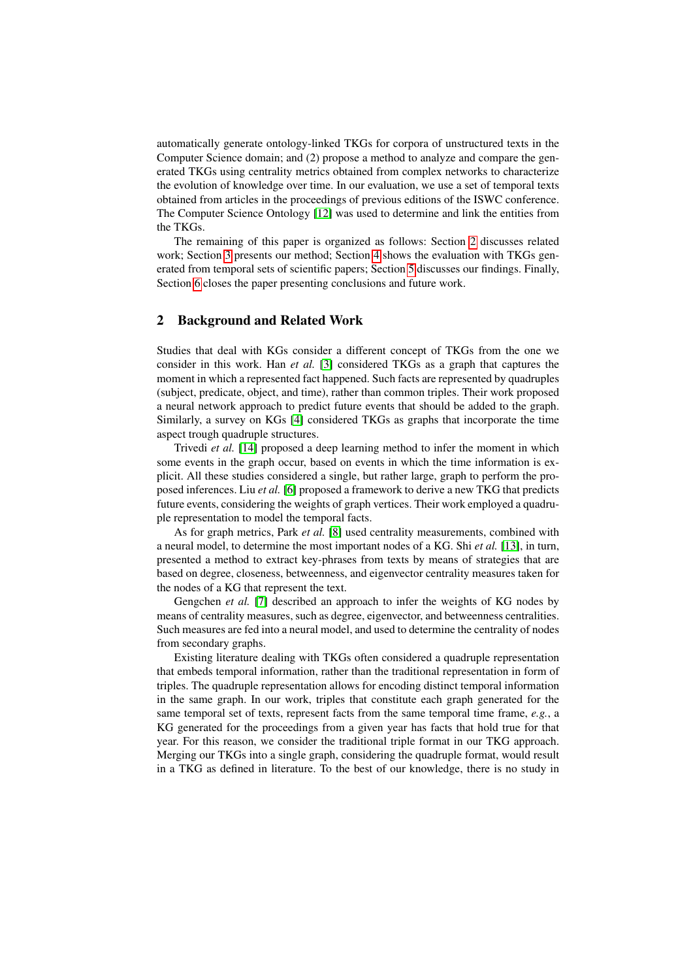automatically generate ontology-linked TKGs for corpora of unstructured texts in the Computer Science domain; and (2) propose a method to analyze and compare the generated TKGs using centrality metrics obtained from complex networks to characterize the evolution of knowledge over time. In our evaluation, we use a set of temporal texts obtained from articles in the proceedings of previous editions of the ISWC conference. The Computer Science Ontology [\[12\]](#page-9-2) was used to determine and link the entities from the TKGs.

The remaining of this paper is organized as follows: Section [2](#page-2-0) discusses related work; Section [3](#page-3-0) presents our method; Section [4](#page-4-0) shows the evaluation with TKGs generated from temporal sets of scientific papers; Section [5](#page-7-0) discusses our findings. Finally, Section [6](#page-8-0) closes the paper presenting conclusions and future work.

#### <span id="page-2-0"></span>2 Background and Related Work

Studies that deal with KGs consider a different concept of TKGs from the one we consider in this work. Han *et al.* [\[3\]](#page-9-3) considered TKGs as a graph that captures the moment in which a represented fact happened. Such facts are represented by quadruples (subject, predicate, object, and time), rather than common triples. Their work proposed a neural network approach to predict future events that should be added to the graph. Similarly, a survey on KGs [\[4\]](#page-9-4) considered TKGs as graphs that incorporate the time aspect trough quadruple structures.

Trivedi *et al.* [\[14\]](#page-9-5) proposed a deep learning method to infer the moment in which some events in the graph occur, based on events in which the time information is explicit. All these studies considered a single, but rather large, graph to perform the proposed inferences. Liu *et al.* [\[6\]](#page-9-6) proposed a framework to derive a new TKG that predicts future events, considering the weights of graph vertices. Their work employed a quadruple representation to model the temporal facts.

As for graph metrics, Park *et al.* [\[8\]](#page-9-7) used centrality measurements, combined with a neural model, to determine the most important nodes of a KG. Shi *et al.* [\[13\]](#page-9-8), in turn, presented a method to extract key-phrases from texts by means of strategies that are based on degree, closeness, betweenness, and eigenvector centrality measures taken for the nodes of a KG that represent the text.

Gengchen *et al.* [\[7\]](#page-9-9) described an approach to infer the weights of KG nodes by means of centrality measures, such as degree, eigenvector, and betweenness centralities. Such measures are fed into a neural model, and used to determine the centrality of nodes from secondary graphs.

Existing literature dealing with TKGs often considered a quadruple representation that embeds temporal information, rather than the traditional representation in form of triples. The quadruple representation allows for encoding distinct temporal information in the same graph. In our work, triples that constitute each graph generated for the same temporal set of texts, represent facts from the same temporal time frame, *e.g.*, a KG generated for the proceedings from a given year has facts that hold true for that year. For this reason, we consider the traditional triple format in our TKG approach. Merging our TKGs into a single graph, considering the quadruple format, would result in a TKG as defined in literature. To the best of our knowledge, there is no study in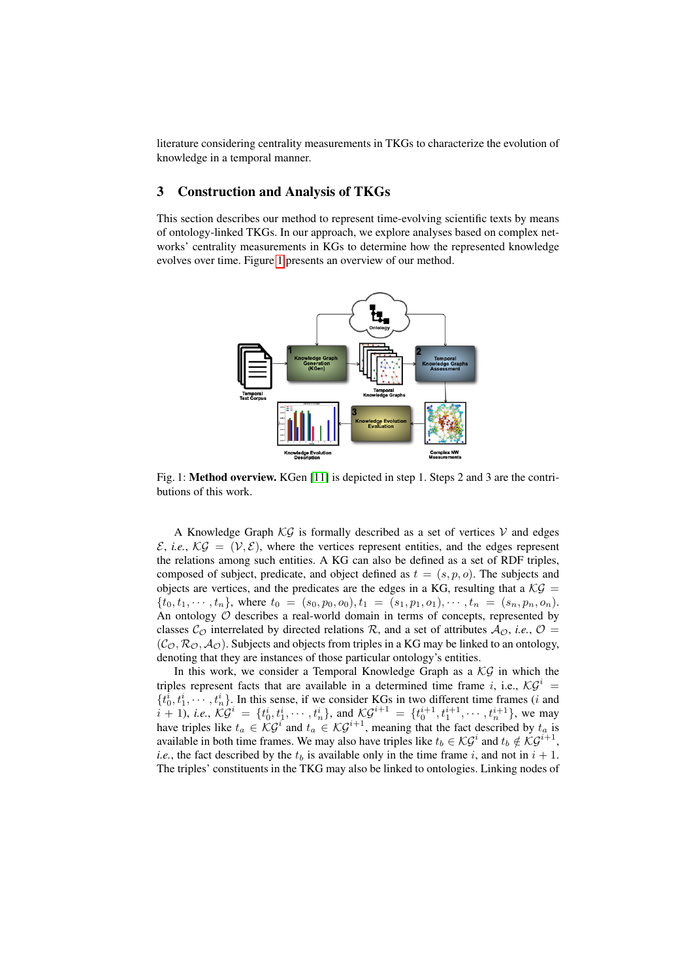literature considering centrality measurements in TKGs to characterize the evolution of knowledge in a temporal manner.

#### <span id="page-3-0"></span>3 Construction and Analysis of TKGs

This section describes our method to represent time-evolving scientific texts by means of ontology-linked TKGs. In our approach, we explore analyses based on complex networks' centrality measurements in KGs to determine how the represented knowledge evolves over time. Figure [1](#page-3-1) presents an overview of our method.

<span id="page-3-1"></span>

Fig. 1: Method overview. KGen [\[11\]](#page-9-1) is depicted in step 1. Steps 2 and 3 are the contributions of this work.

A Knowledge Graph  $\mathcal{KG}$  is formally described as a set of vertices  $\mathcal V$  and edges  $\mathcal{E}$ , *i.e.*,  $\mathcal{KG} = (\mathcal{V}, \mathcal{E})$ , where the vertices represent entities, and the edges represent the relations among such entities. A KG can also be defined as a set of RDF triples, composed of subject, predicate, and object defined as  $t = (s, p, o)$ . The subjects and objects are vertices, and the predicates are the edges in a KG, resulting that a  $\mathcal{KG} =$  ${t_0, t_1, \cdots, t_n}$ , where  $t_0 = (s_0, p_0, o_0), t_1 = (s_1, p_1, o_1), \cdots, t_n = (s_n, p_n, o_n)$ . An ontology  $O$  describes a real-world domain in terms of concepts, represented by classes  $\mathcal{C}_{\mathcal{O}}$  interrelated by directed relations  $\mathcal{R}$ , and a set of attributes  $\mathcal{A}_{\mathcal{O}}$ , *i.e.*,  $\mathcal{O}$  =  $(C_{\mathcal{O}}, \mathcal{R}_{\mathcal{O}}, \mathcal{A}_{\mathcal{O}})$ . Subjects and objects from triples in a KG may be linked to an ontology, denoting that they are instances of those particular ontology's entities.

In this work, we consider a Temporal Knowledge Graph as a  $\mathcal{KG}$  in which the triples represent facts that are available in a determined time frame i, i.e.,  $\mathcal{KG}^i$  =  $\{t_0^i, t_1^i, \dots, t_n^i\}$ . In this sense, if we consider KGs in two different time frames (*i* and  $i + 1$ , *i.e.*,  $\mathcal{KG}^i = \{t_0^i, t_1^i, \dots, t_n^i\}$ , and  $\mathcal{KG}^{i+1} = \{t_0^{i+1}, t_1^{i+1}, \dots, t_n^{i+1}\}$ , we may have triples like  $t_a \in \mathcal{KG}^i$  and  $t_a \in \mathcal{KG}^{i+1}$ , meaning that the fact described by  $t_a$  is available in both time frames. We may also have triples like  $t_b \in \mathcal{KG}^i$  and  $t_b \notin \mathcal{KG}^{i+1}$ , *i.e.*, the fact described by the  $t_b$  is available only in the time frame i, and not in  $i + 1$ . The triples' constituents in the TKG may also be linked to ontologies. Linking nodes of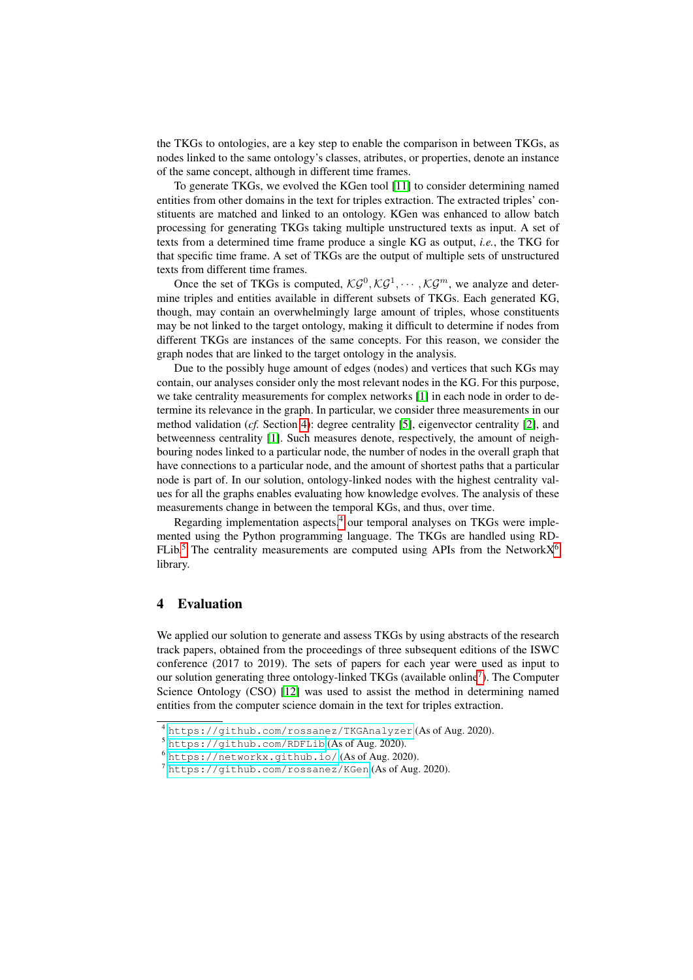the TKGs to ontologies, are a key step to enable the comparison in between TKGs, as nodes linked to the same ontology's classes, atributes, or properties, denote an instance of the same concept, although in different time frames.

To generate TKGs, we evolved the KGen tool [\[11\]](#page-9-1) to consider determining named entities from other domains in the text for triples extraction. The extracted triples' constituents are matched and linked to an ontology. KGen was enhanced to allow batch processing for generating TKGs taking multiple unstructured texts as input. A set of texts from a determined time frame produce a single KG as output, *i.e.*, the TKG for that specific time frame. A set of TKGs are the output of multiple sets of unstructured texts from different time frames.

Once the set of TKGs is computed,  $\mathcal{KG}^0$ ,  $\mathcal{KG}^1$ ,  $\dots$ ,  $\mathcal{KG}^m$ , we analyze and determine triples and entities available in different subsets of TKGs. Each generated KG, though, may contain an overwhelmingly large amount of triples, whose constituents may be not linked to the target ontology, making it difficult to determine if nodes from different TKGs are instances of the same concepts. For this reason, we consider the graph nodes that are linked to the target ontology in the analysis.

Due to the possibly huge amount of edges (nodes) and vertices that such KGs may contain, our analyses consider only the most relevant nodes in the KG. For this purpose, we take centrality measurements for complex networks [\[1\]](#page-9-10) in each node in order to determine its relevance in the graph. In particular, we consider three measurements in our method validation (*cf.* Section [4\)](#page-4-0): degree centrality [\[5\]](#page-9-11), eigenvector centrality [\[2\]](#page-9-12), and betweenness centrality [\[1\]](#page-9-10). Such measures denote, respectively, the amount of neighbouring nodes linked to a particular node, the number of nodes in the overall graph that have connections to a particular node, and the amount of shortest paths that a particular node is part of. In our solution, ontology-linked nodes with the highest centrality values for all the graphs enables evaluating how knowledge evolves. The analysis of these measurements change in between the temporal KGs, and thus, over time.

Regarding implementation aspects, $4$  our temporal analyses on TKGs were implemented using the Python programming language. The TKGs are handled using RD-FLib.<sup>[5](#page-4-2)</sup> The centrality measurements are computed using APIs from the Network $X^6$  $X^6$ library.

## <span id="page-4-0"></span>4 Evaluation

We applied our solution to generate and assess TKGs by using abstracts of the research track papers, obtained from the proceedings of three subsequent editions of the ISWC conference (2017 to 2019). The sets of papers for each year were used as input to our solution generating three ontology-linked TKGs (available online<sup>[7](#page-4-4)</sup>). The Computer Science Ontology (CSO) [\[12\]](#page-9-2) was used to assist the method in determining named entities from the computer science domain in the text for triples extraction.

<span id="page-4-1"></span><sup>4</sup> <https://github.com/rossanez/TKGAnalyzer> (As of Aug. 2020).

<span id="page-4-2"></span><sup>5</sup> <https://github.com/RDFLib> (As of Aug. 2020).

<span id="page-4-3"></span><sup>6</sup> <https://networkx.github.io/> (As of Aug. 2020).

<span id="page-4-4"></span><sup>7</sup> <https://github.com/rossanez/KGen> (As of Aug. 2020).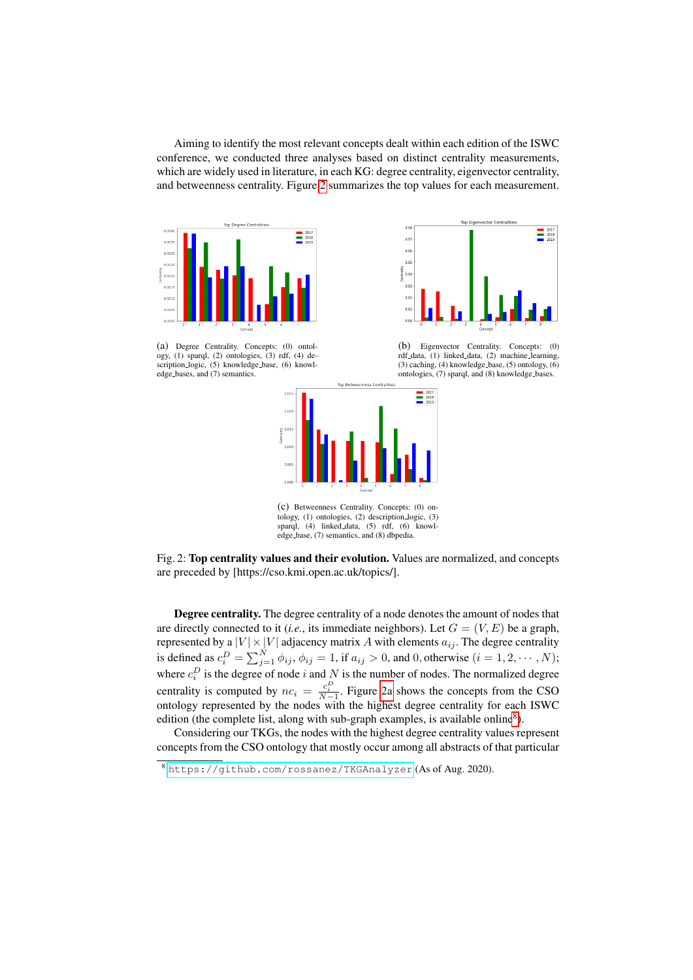Aiming to identify the most relevant concepts dealt within each edition of the ISWC conference, we conducted three analyses based on distinct centrality measurements, which are widely used in literature, in each KG: degree centrality, eigenvector centrality, and betweenness centrality. Figure [2](#page-5-0) summarizes the top values for each measurement.

> $0.0$  $\overline{0.0}$  $0.0$  $\overline{a}$  $0<sup>0</sup>$

<span id="page-5-0"></span>

(a) Degree Centrality. Concepts: (0) ontology, (1) sparql, (2) ontologies, (3) rdf, (4) description logic, (5) knowledge base, (6) knowledge bases, and (7) semantics.





Top Eigenvector Centralit

 $\begin{array}{r} \hline \rule{0pt}{2.5ex} \rule{0pt}{2.5ex} \rule{0pt}{2.5ex} \rule{0pt}{2.5ex} \rule{0pt}{2.5ex} \rule{0pt}{2.5ex} \rule{0pt}{2.5ex} \rule{0pt}{2.5ex} \rule{0pt}{2.5ex} \rule{0pt}{2.5ex} \rule{0pt}{2.5ex} \rule{0pt}{2.5ex} \rule{0pt}{2.5ex} \rule{0pt}{2.5ex} \rule{0pt}{2.5ex} \rule{0pt}{2.5ex} \rule{0pt}{2.5ex} \rule{0pt}{2.5ex} \rule{0pt}{2.5ex} \$ 

rdf data, (1) linked data, (2) machine learning,  $(3)$  caching,  $(4)$  knowledge base,  $(5)$  ontology,  $(6)$ ontologies, (7) sparql, and (8) knowledge bases.

(c) Betweenness Centrality. Concepts: (0) ontology, (1) ontologies, (2) description logic, (3) sparql, (4) linked data, (5) rdf, (6) knowledge base, (7) semantics, and (8) dbpedia.



Degree centrality. The degree centrality of a node denotes the amount of nodes that are directly connected to it (*i.e.*, its immediate neighbors). Let  $G = (V, E)$  be a graph, represented by a  $|V| \times |V|$  adjacency matrix  $A$  with elements  $a_{ij}$ . The degree centrality is defined as  $c_i^D = \sum_{j=1}^N \phi_{ij}$ ,  $\phi_{ij} = 1$ , if  $a_{ij} > 0$ , and 0, otherwise  $(i = 1, 2, \dots, N)$ ; where  $c_i^D$  is the degree of node i and N is the number of nodes. The normalized degree centrality is computed by  $nc_i = \frac{c_i^D}{N-1}$ . Figure [2a](#page-5-0) shows the concepts from the CSO ontology represented by the nodes with the highest degree centrality for each ISWC edition (the complete list, along with sub-graph examples, is available online<sup>[8](#page-5-1)</sup>).

Considering our TKGs, the nodes with the highest degree centrality values represent concepts from the CSO ontology that mostly occur among all abstracts of that particular

<span id="page-5-1"></span><sup>8</sup> <https://github.com/rossanez/TKGAnalyzer> (As of Aug. 2020).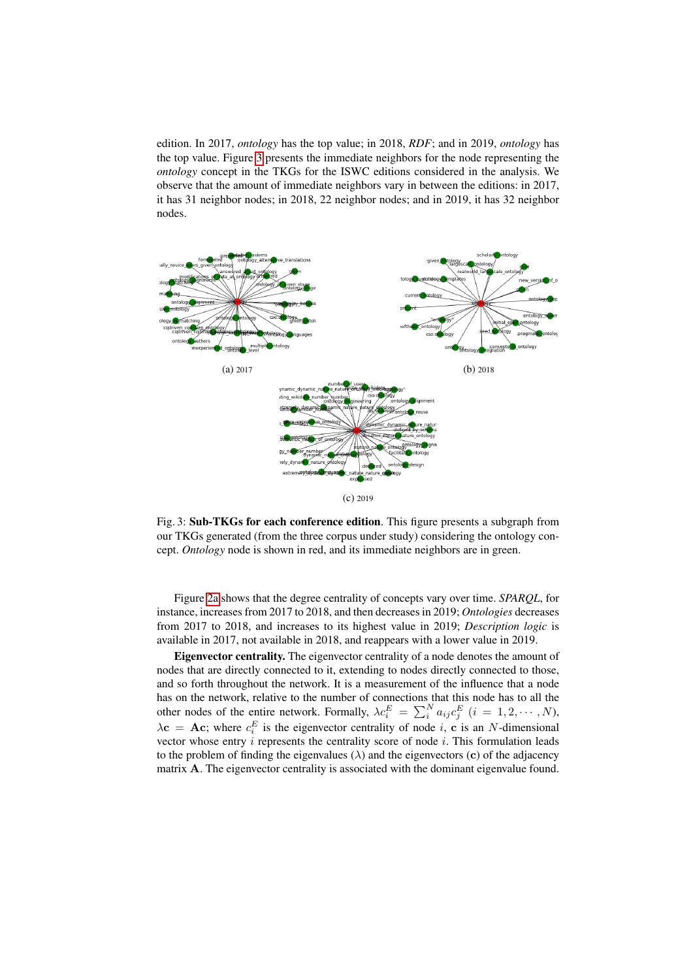edition. In 2017, *ontology* has the top value; in 2018, *RDF*; and in 2019, *ontology* has the top value. Figure [3](#page-6-0) presents the immediate neighbors for the node representing the *ontology* concept in the TKGs for the ISWC editions considered in the analysis. We observe that the amount of immediate neighbors vary in between the editions: in 2017, it has 31 neighbor nodes; in 2018, 22 neighbor nodes; and in 2019, it has 32 neighbor nodes.

<span id="page-6-0"></span>

Fig. 3: Sub-TKGs for each conference edition. This figure presents a subgraph from our TKGs generated (from the three corpus under study) considering the ontology concept. *Ontology* node is shown in red, and its immediate neighbors are in green.

Figure [2a](#page-5-0) shows that the degree centrality of concepts vary over time. *SPARQL*, for instance, increases from 2017 to 2018, and then decreases in 2019; *Ontologies* decreases from 2017 to 2018, and increases to its highest value in 2019; *Description logic* is available in 2017, not available in 2018, and reappears with a lower value in 2019.

Eigenvector centrality. The eigenvector centrality of a node denotes the amount of nodes that are directly connected to it, extending to nodes directly connected to those, and so forth throughout the network. It is a measurement of the influence that a node has on the network, relative to the number of connections that this node has to all the other nodes of the entire network. Formally,  $\lambda c_i^E = \sum_i^N a_{ij} c_j^E$   $(i = 1, 2, \cdots, N)$ ,  $\lambda$ **c** = **Ac**; where  $c_i^E$  is the eigenvector centrality of node *i*, **c** is an *N*-dimensional vector whose entry  $i$  represents the centrality score of node  $i$ . This formulation leads to the problem of finding the eigenvalues  $(\lambda)$  and the eigenvectors  $(c)$  of the adjacency matrix A. The eigenvector centrality is associated with the dominant eigenvalue found.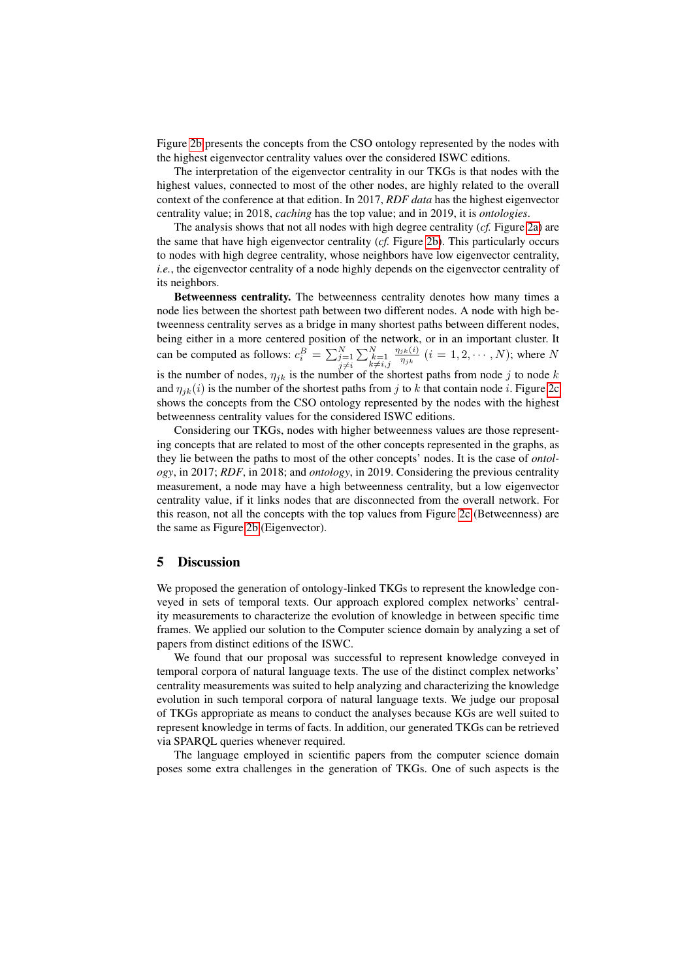Figure [2b](#page-5-0) presents the concepts from the CSO ontology represented by the nodes with the highest eigenvector centrality values over the considered ISWC editions.

The interpretation of the eigenvector centrality in our TKGs is that nodes with the highest values, connected to most of the other nodes, are highly related to the overall context of the conference at that edition. In 2017, *RDF data* has the highest eigenvector centrality value; in 2018, *caching* has the top value; and in 2019, it is *ontologies*.

The analysis shows that not all nodes with high degree centrality (*cf.* Figure [2a\)](#page-5-0) are the same that have high eigenvector centrality (*cf.* Figure [2b\)](#page-5-0). This particularly occurs to nodes with high degree centrality, whose neighbors have low eigenvector centrality, *i.e.*, the eigenvector centrality of a node highly depends on the eigenvector centrality of its neighbors.

Betweenness centrality. The betweenness centrality denotes how many times a node lies between the shortest path between two different nodes. A node with high betweenness centrality serves as a bridge in many shortest paths between different nodes, being either in a more centered position of the network, or in an important cluster. It can be computed as follows:  $c_i^B = \sum_{\substack{j=1 \ j \neq i}}^N$  $\sum_{\substack{k=1 \ k \neq i,j}}^{N}$  $\eta_{jk}(i)$  $\frac{j_k(i)}{\eta_{jk}}$   $(i = 1, 2, \cdots, N)$ ; where N is the number of nodes,  $\eta_{jk}$  is the number of the shortest paths from node j to node k and  $\eta_{ik}(i)$  is the number of the shortest paths from j to k that contain node i. Figure [2c](#page-5-0) shows the concepts from the CSO ontology represented by the nodes with the highest betweenness centrality values for the considered ISWC editions.

Considering our TKGs, nodes with higher betweenness values are those representing concepts that are related to most of the other concepts represented in the graphs, as they lie between the paths to most of the other concepts' nodes. It is the case of *ontology*, in 2017; *RDF*, in 2018; and *ontology*, in 2019. Considering the previous centrality measurement, a node may have a high betweenness centrality, but a low eigenvector centrality value, if it links nodes that are disconnected from the overall network. For this reason, not all the concepts with the top values from Figure [2c](#page-5-0) (Betweenness) are the same as Figure [2b](#page-5-0) (Eigenvector).

#### <span id="page-7-0"></span>5 Discussion

We proposed the generation of ontology-linked TKGs to represent the knowledge conveyed in sets of temporal texts. Our approach explored complex networks' centrality measurements to characterize the evolution of knowledge in between specific time frames. We applied our solution to the Computer science domain by analyzing a set of papers from distinct editions of the ISWC.

We found that our proposal was successful to represent knowledge conveyed in temporal corpora of natural language texts. The use of the distinct complex networks' centrality measurements was suited to help analyzing and characterizing the knowledge evolution in such temporal corpora of natural language texts. We judge our proposal of TKGs appropriate as means to conduct the analyses because KGs are well suited to represent knowledge in terms of facts. In addition, our generated TKGs can be retrieved via SPARQL queries whenever required.

The language employed in scientific papers from the computer science domain poses some extra challenges in the generation of TKGs. One of such aspects is the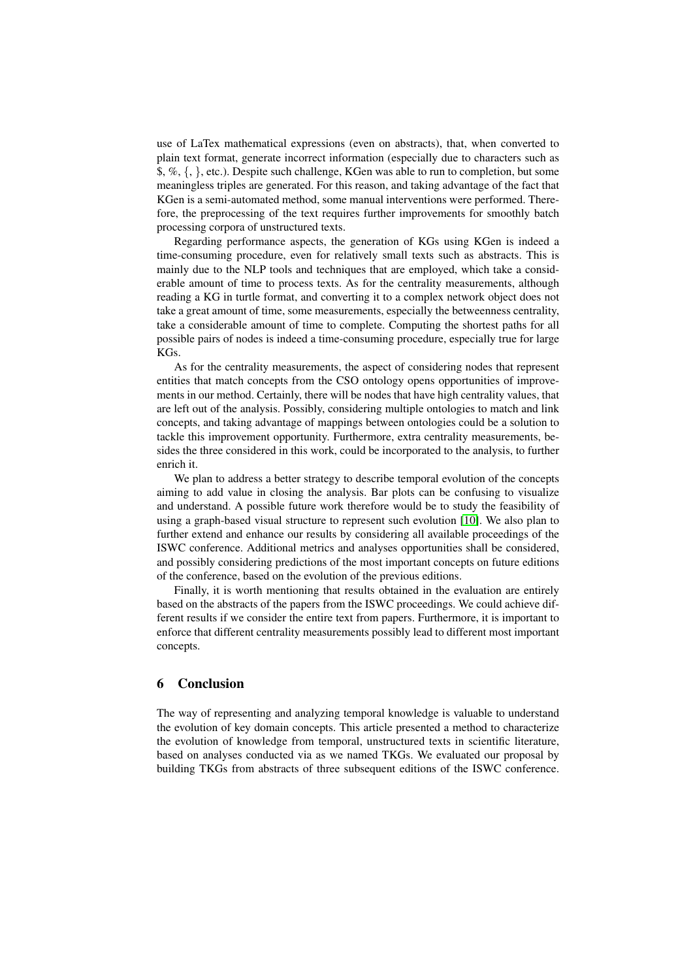use of LaTex mathematical expressions (even on abstracts), that, when converted to plain text format, generate incorrect information (especially due to characters such as \$, %, {, }, etc.). Despite such challenge, KGen was able to run to completion, but some meaningless triples are generated. For this reason, and taking advantage of the fact that KGen is a semi-automated method, some manual interventions were performed. Therefore, the preprocessing of the text requires further improvements for smoothly batch processing corpora of unstructured texts.

Regarding performance aspects, the generation of KGs using KGen is indeed a time-consuming procedure, even for relatively small texts such as abstracts. This is mainly due to the NLP tools and techniques that are employed, which take a considerable amount of time to process texts. As for the centrality measurements, although reading a KG in turtle format, and converting it to a complex network object does not take a great amount of time, some measurements, especially the betweenness centrality, take a considerable amount of time to complete. Computing the shortest paths for all possible pairs of nodes is indeed a time-consuming procedure, especially true for large KGs.

As for the centrality measurements, the aspect of considering nodes that represent entities that match concepts from the CSO ontology opens opportunities of improvements in our method. Certainly, there will be nodes that have high centrality values, that are left out of the analysis. Possibly, considering multiple ontologies to match and link concepts, and taking advantage of mappings between ontologies could be a solution to tackle this improvement opportunity. Furthermore, extra centrality measurements, besides the three considered in this work, could be incorporated to the analysis, to further enrich it.

We plan to address a better strategy to describe temporal evolution of the concepts aiming to add value in closing the analysis. Bar plots can be confusing to visualize and understand. A possible future work therefore would be to study the feasibility of using a graph-based visual structure to represent such evolution [\[10\]](#page-9-13). We also plan to further extend and enhance our results by considering all available proceedings of the ISWC conference. Additional metrics and analyses opportunities shall be considered, and possibly considering predictions of the most important concepts on future editions of the conference, based on the evolution of the previous editions.

Finally, it is worth mentioning that results obtained in the evaluation are entirely based on the abstracts of the papers from the ISWC proceedings. We could achieve different results if we consider the entire text from papers. Furthermore, it is important to enforce that different centrality measurements possibly lead to different most important concepts.

## <span id="page-8-0"></span>6 Conclusion

The way of representing and analyzing temporal knowledge is valuable to understand the evolution of key domain concepts. This article presented a method to characterize the evolution of knowledge from temporal, unstructured texts in scientific literature, based on analyses conducted via as we named TKGs. We evaluated our proposal by building TKGs from abstracts of three subsequent editions of the ISWC conference.